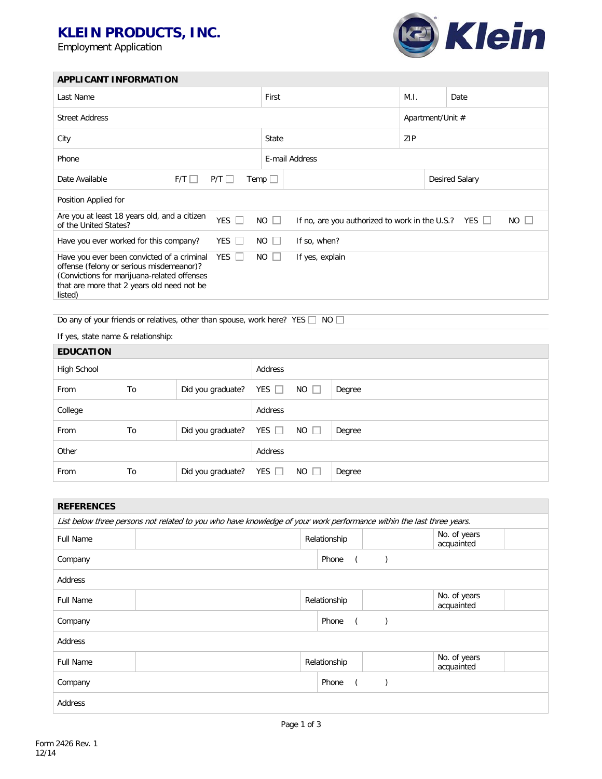# **KLEIN PRODUCTS, INC.**

Employment Application



Desired Salary

| <b>APPLICANT INFORMATION</b> |                              |                |            |                  |
|------------------------------|------------------------------|----------------|------------|------------------|
| Last Name                    |                              | First          | M.I.       | Date             |
| <b>Street Address</b>        |                              |                |            | Apartment/Unit # |
| City                         |                              | State          | <b>ZIP</b> |                  |
| Phone                        |                              | E-mail Address |            |                  |
| Date Available               | $P/T$ $\Box$<br>$F/T$ $\Box$ | Temp $\Box$    |            | Desired Sal      |
|                              |                              |                |            |                  |

| Position Applied for                                                                                                                                                                                      |            |              |                                                                    |
|-----------------------------------------------------------------------------------------------------------------------------------------------------------------------------------------------------------|------------|--------------|--------------------------------------------------------------------|
| Are you at least 18 years old, and a citizen<br>of the United States?                                                                                                                                     | <b>YES</b> | NO I         | NO II<br>If no, are you authorized to work in the U.S.? YES $\Box$ |
| Have you ever worked for this company?                                                                                                                                                                    | YES        | $NO$ $ $ $ $ | If so, when?                                                       |
| Have you ever been convicted of a criminal YES $\Box$<br>offense (felony or serious misdemeanor)?<br>(Convictions for marijuana-related offenses<br>that are more that 2 years old need not be<br>listed) |            | NO I         | If yes, explain                                                    |

Do any of your friends or relatives, other than spouse, work here? YES  $\Box$  NO  $\Box$ 

If yes, state name & relationship:

| <b>EDUCATION</b> |    |                              |            |             |        |
|------------------|----|------------------------------|------------|-------------|--------|
| High School      |    |                              | Address    |             |        |
| From             | To | Did you graduate?            | YES $\Box$ | $NO \Box$   | Degree |
| College          |    |                              | Address    |             |        |
| From             | To | Did you graduate?            | YES $\Box$ | $NO$ $\Box$ | Degree |
| Other            |    |                              | Address    |             |        |
| From             | To | Did you graduate? YES $\Box$ |            | $NO \Box$   | Degree |

| <b>REFERENCES</b> |                                                                                                                      |              |  |  |                            |  |
|-------------------|----------------------------------------------------------------------------------------------------------------------|--------------|--|--|----------------------------|--|
|                   | List below three persons not related to you who have knowledge of your work performance within the last three years. |              |  |  |                            |  |
| <b>Full Name</b>  |                                                                                                                      | Relationship |  |  | No. of years<br>acquainted |  |
| Company           |                                                                                                                      | Phone        |  |  |                            |  |
| Address           |                                                                                                                      |              |  |  |                            |  |
| <b>Full Name</b>  |                                                                                                                      | Relationship |  |  | No. of years<br>acquainted |  |
| Company           |                                                                                                                      | Phone        |  |  |                            |  |
| Address           |                                                                                                                      |              |  |  |                            |  |
| <b>Full Name</b>  |                                                                                                                      | Relationship |  |  | No. of years<br>acquainted |  |
| Company           |                                                                                                                      | Phone        |  |  |                            |  |
| Address           |                                                                                                                      |              |  |  |                            |  |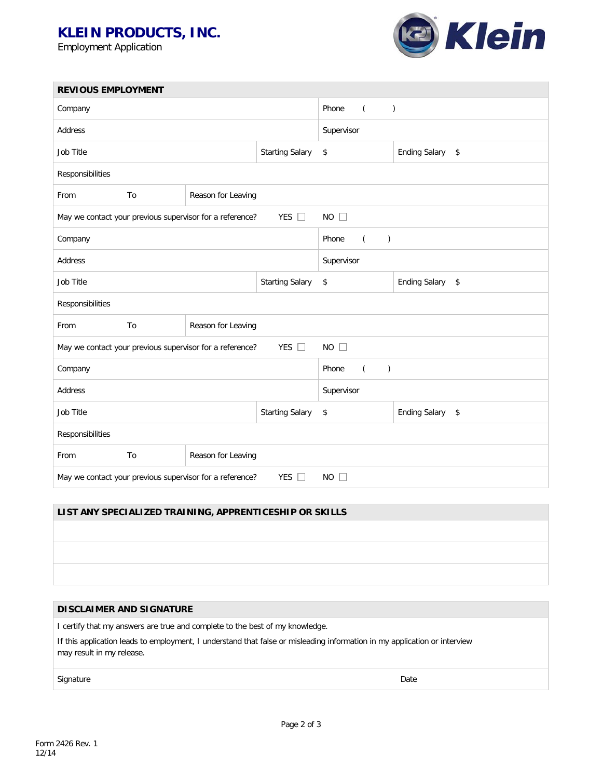## **KLEIN PRODUCTS, INC.**

Employment Application



| <b>REVIOUS EMPLOYMENT</b>                                                                |    |                        |                                       |                                             |                                      |  |  |
|------------------------------------------------------------------------------------------|----|------------------------|---------------------------------------|---------------------------------------------|--------------------------------------|--|--|
| Company                                                                                  |    |                        |                                       | Phone<br>$\mathcal{C}^{\prime}$<br>$\left($ |                                      |  |  |
| Address                                                                                  |    |                        |                                       | Supervisor                                  |                                      |  |  |
| Job Title                                                                                |    |                        | <b>Starting Salary</b>                | \$                                          | <b>Ending Salary</b><br>$\mathsf{S}$ |  |  |
| Responsibilities                                                                         |    |                        |                                       |                                             |                                      |  |  |
| From                                                                                     | To | Reason for Leaving     |                                       |                                             |                                      |  |  |
| YES $\Box$<br>$NO$ $\Box$<br>May we contact your previous supervisor for a reference?    |    |                        |                                       |                                             |                                      |  |  |
| Company                                                                                  |    |                        | Phone<br>$\left($<br>$\left( \right)$ |                                             |                                      |  |  |
| Address                                                                                  |    |                        | Supervisor                            |                                             |                                      |  |  |
| Job Title                                                                                |    |                        | <b>Starting Salary</b>                | \$                                          | <b>Ending Salary</b><br>$\sqrt{2}$   |  |  |
| Responsibilities                                                                         |    |                        |                                       |                                             |                                      |  |  |
| From                                                                                     | To | Reason for Leaving     |                                       |                                             |                                      |  |  |
| YES $\square$<br>$NO$ $\Box$<br>May we contact your previous supervisor for a reference? |    |                        |                                       |                                             |                                      |  |  |
| Company                                                                                  |    |                        | Phone<br>$\left($<br>$\left( \right)$ |                                             |                                      |  |  |
| Address                                                                                  |    |                        | Supervisor                            |                                             |                                      |  |  |
| Job Title                                                                                |    | <b>Starting Salary</b> | \$                                    | <b>Ending Salary</b><br>$\sqrt{2}$          |                                      |  |  |
| Responsibilities                                                                         |    |                        |                                       |                                             |                                      |  |  |
| From                                                                                     | To | Reason for Leaving     |                                       |                                             |                                      |  |  |
| YES $\square$<br>$NO$ $\Box$<br>May we contact your previous supervisor for a reference? |    |                        |                                       |                                             |                                      |  |  |

### **LIST ANY SPECIALIZED TRAINING, APPRENTICESHIP OR SKILLS**

#### **DISCLAIMER AND SIGNATURE**

I certify that my answers are true and complete to the best of my knowledge.

If this application leads to employment, I understand that false or misleading information in my application or interview may result in my release.

Signature Date Date of the Contract of the Contract of the Contract of the Date Date of the Date of the Date of the Date of the Date of the Date of the Date of the Date of the Date of the Date of the Date of the Date of th